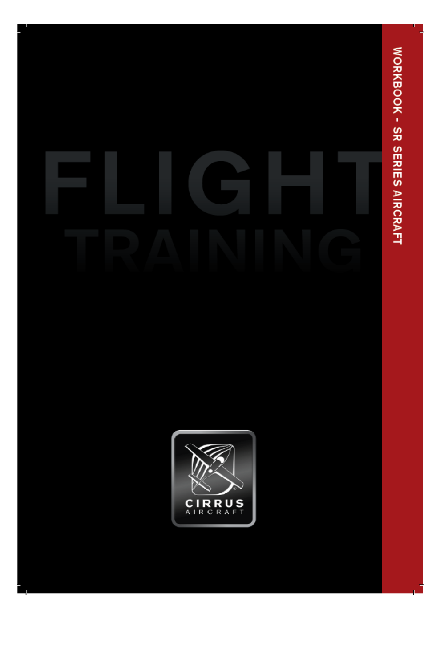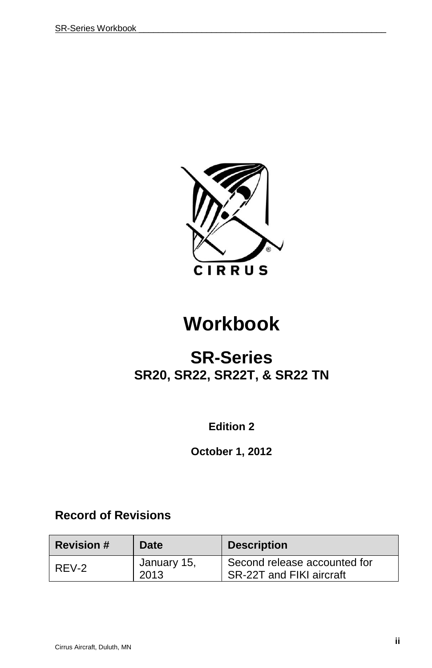

# **Workbook**

## **SR-Series SR20, SR22, SR22T, & SR22 TN**

**Edition 2**

**October 1, 2012**

## **Record of Revisions**

| <b>Revision #</b> | Date                | <b>Description</b>                                       |
|-------------------|---------------------|----------------------------------------------------------|
| REV-2             | January 15,<br>2013 | Second release accounted for<br>SR-22T and FIKI aircraft |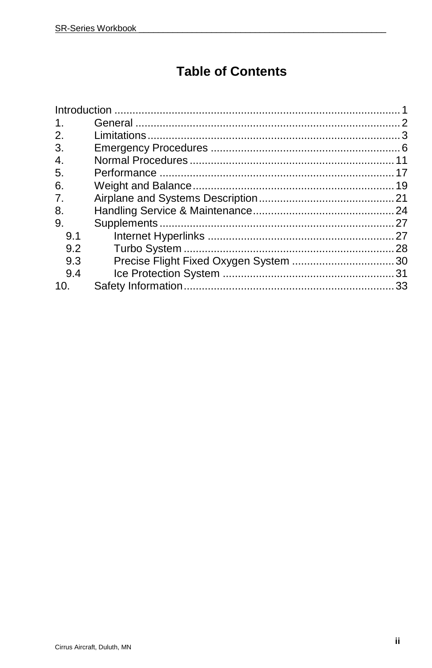## **Table of Contents**

| $1_{-}$ |  |
|---------|--|
| 2.      |  |
| 3.      |  |
| 4.      |  |
| 5.      |  |
| 6.      |  |
| 7.      |  |
| 8.      |  |
| 9.      |  |
| 9.1     |  |
| 9.2     |  |
| 9.3     |  |
| 9.4     |  |
| 10.     |  |
|         |  |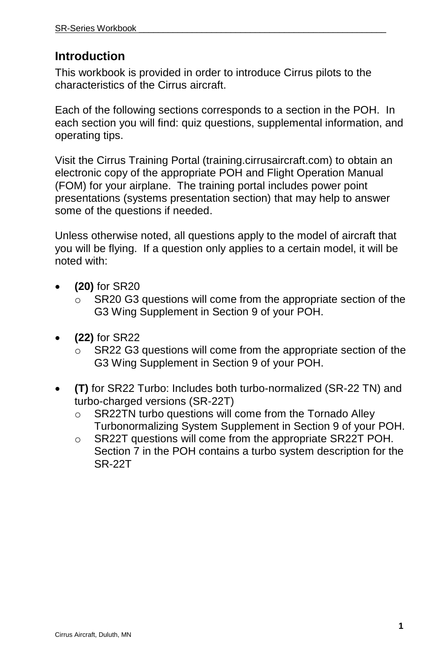## **Introduction**

This workbook is provided in order to introduce Cirrus pilots to the characteristics of the Cirrus aircraft.

Each of the following sections corresponds to a section in the POH. In each section you will find: quiz questions, supplemental information, and operating tips.

Visit the Cirrus Training Portal (training.cirrusaircraft.com) to obtain an electronic copy of the appropriate POH and Flight Operation Manual (FOM) for your airplane. The training portal includes power point presentations (systems presentation section) that may help to answer some of the questions if needed.

Unless otherwise noted, all questions apply to the model of aircraft that you will be flying. If a question only applies to a certain model, it will be noted with:

- **(20)** for SR20
	- $\circ$  SR20 G3 questions will come from the appropriate section of the G3 Wing Supplement in Section 9 of your POH.
- **(22)** for SR22
	- $\circ$  SR22 G3 questions will come from the appropriate section of the G3 Wing Supplement in Section 9 of your POH.
- **(T)** for SR22 Turbo: Includes both turbo-normalized (SR-22 TN) and turbo-charged versions (SR-22T)
	- o SR22TN turbo questions will come from the Tornado Alley Turbonormalizing System Supplement in Section 9 of your POH.
	- o SR22T questions will come from the appropriate SR22T POH. Section 7 in the POH contains a turbo system description for the SR-22T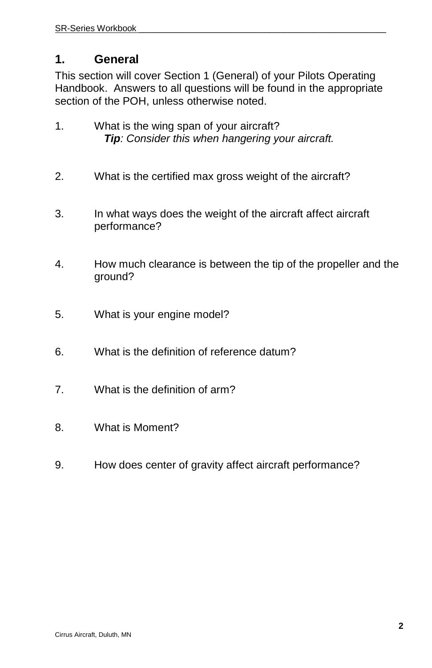## **1. General**

This section will cover Section 1 (General) of your Pilots Operating Handbook. Answers to all questions will be found in the appropriate section of the POH, unless otherwise noted.

- 1. What is the wing span of your aircraft? *Tip: Consider this when hangering your aircraft.*
- 2. What is the certified max gross weight of the aircraft?
- 3. In what ways does the weight of the aircraft affect aircraft performance?
- 4. How much clearance is between the tip of the propeller and the ground?
- 5. What is your engine model?
- 6. What is the definition of reference datum?
- 7. What is the definition of arm?
- 8. What is Moment?
- 9. How does center of gravity affect aircraft performance?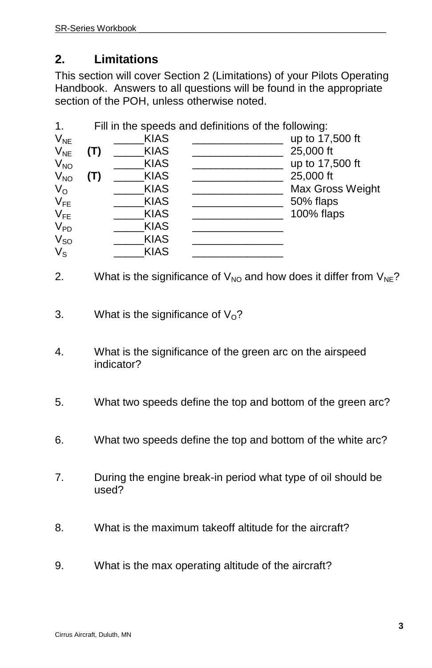## **2. Limitations**

This section will cover Section 2 (Limitations) of your Pilots Operating Handbook. Answers to all questions will be found in the appropriate section of the POH, unless otherwise noted.

| 1.          |     |             | Fill in the speeds and definitions of the following: |                  |
|-------------|-----|-------------|------------------------------------------------------|------------------|
| $V_{NE}$    |     | <b>KIAS</b> |                                                      | up to 17,500 ft  |
| $V_{NE}$    | (T) | <b>KIAS</b> |                                                      | 25,000 ft        |
| $V_{NO}$    |     | <b>KIAS</b> |                                                      | up to 17,500 ft  |
| $V_{NO}$    | (T) | <b>KIAS</b> |                                                      | 25,000 ft        |
| $V_{\rm O}$ |     | <b>KIAS</b> |                                                      | Max Gross Weight |
| $V_{FE}$    |     | <b>KIAS</b> |                                                      | 50% flaps        |
| $V_{FE}$    |     | <b>KIAS</b> |                                                      | 100% flaps       |
| $V_{PD}$    |     | <b>KIAS</b> |                                                      |                  |
| $V_{SO}$    |     | <b>KIAS</b> |                                                      |                  |
| $V_{\rm S}$ |     | <b>KIAS</b> |                                                      |                  |

- 2. What is the significance of  $V_{NO}$  and how does it differ from  $V_{NE}$ ?
- 3. What is the significance of  $V<sub>o</sub>$ ?
- 4. What is the significance of the green arc on the airspeed indicator?
- 5. What two speeds define the top and bottom of the green arc?
- 6. What two speeds define the top and bottom of the white arc?
- 7. During the engine break-in period what type of oil should be used?
- 8. What is the maximum takeoff altitude for the aircraft?
- 9. What is the max operating altitude of the aircraft?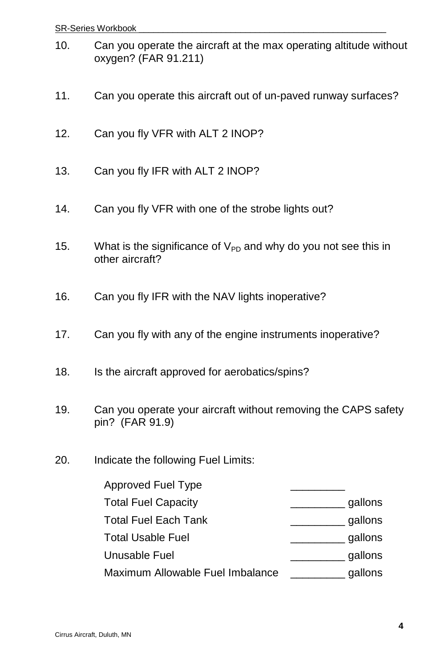- 10. Can you operate the aircraft at the max operating altitude without oxygen? (FAR 91.211)
- 11. Can you operate this aircraft out of un-paved runway surfaces?
- 12. Can you fly VFR with ALT 2 INOP?
- 13. Can you fly IFR with ALT 2 INOP?
- 14. Can you fly VFR with one of the strobe lights out?
- 15. What is the significance of  $V_{PD}$  and why do you not see this in other aircraft?
- 16. Can you fly IFR with the NAV lights inoperative?
- 17. Can you fly with any of the engine instruments inoperative?
- 18. Is the aircraft approved for aerobatics/spins?
- 19. Can you operate your aircraft without removing the CAPS safety pin? (FAR 91.9)
- 20. Indicate the following Fuel Limits:

| Approved Fuel Type               |         |
|----------------------------------|---------|
| <b>Total Fuel Capacity</b>       | gallons |
| <b>Total Fuel Each Tank</b>      | gallons |
| <b>Total Usable Fuel</b>         | gallons |
| Unusable Fuel                    | gallons |
| Maximum Allowable Fuel Imbalance | gallons |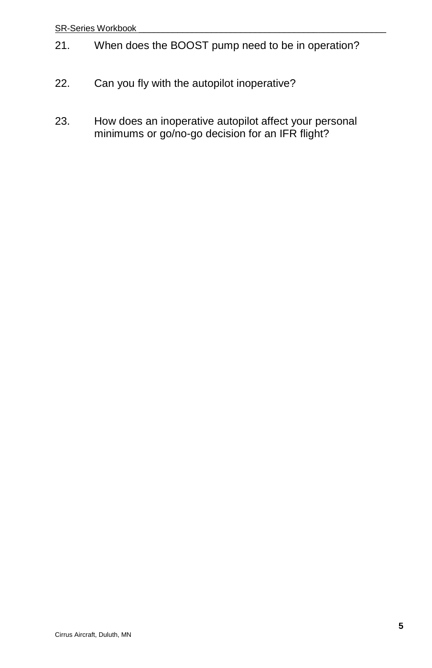#### SR-Series Workbook

- 21. When does the BOOST pump need to be in operation?
- 22. Can you fly with the autopilot inoperative?
- 23. How does an inoperative autopilot affect your personal minimums or go/no-go decision for an IFR flight?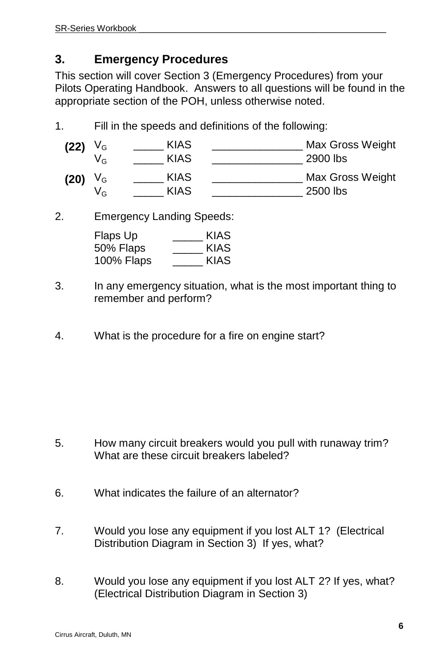## **3. Emergency Procedures**

This section will cover Section 3 (Emergency Procedures) from your Pilots Operating Handbook. Answers to all questions will be found in the appropriate section of the POH, unless otherwise noted.

1. Fill in the speeds and definitions of the following:

| (22) | V <sub>G</sub> | <b>KIAS</b> | Max Gross Weight |
|------|----------------|-------------|------------------|
|      | VG             | KIAS        | 2900 lbs         |
| (20) | V <sub>G</sub> | KIAS        | Max Gross Weight |
|      | VG             | KIAS        | 2500 lbs         |

2. Emergency Landing Speeds:

| Flaps Up   | KIAS |
|------------|------|
| 50% Flaps  | KIAS |
| 100% Flaps | KIAS |

- 3. In any emergency situation, what is the most important thing to remember and perform?
- 4. What is the procedure for a fire on engine start?

- 5. How many circuit breakers would you pull with runaway trim? What are these circuit breakers labeled?
- 6. What indicates the failure of an alternator?
- 7. Would you lose any equipment if you lost ALT 1? (Electrical Distribution Diagram in Section 3) If yes, what?
- 8. Would you lose any equipment if you lost ALT 2? If yes, what? (Electrical Distribution Diagram in Section 3)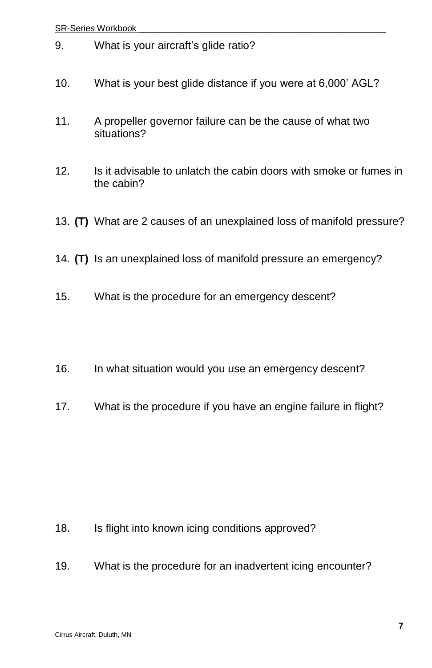- 9. What is your aircraft's glide ratio?
- 10. What is your best glide distance if you were at 6,000' AGL?
- 11. A propeller governor failure can be the cause of what two situations?
- 12. Is it advisable to unlatch the cabin doors with smoke or fumes in the cabin?
- 13. **(T)** What are 2 causes of an unexplained loss of manifold pressure?
- 14. **(T)** Is an unexplained loss of manifold pressure an emergency?
- 15. What is the procedure for an emergency descent?
- 16. In what situation would you use an emergency descent?
- 17. What is the procedure if you have an engine failure in flight?

- 18. Is flight into known icing conditions approved?
- 19. What is the procedure for an inadvertent icing encounter?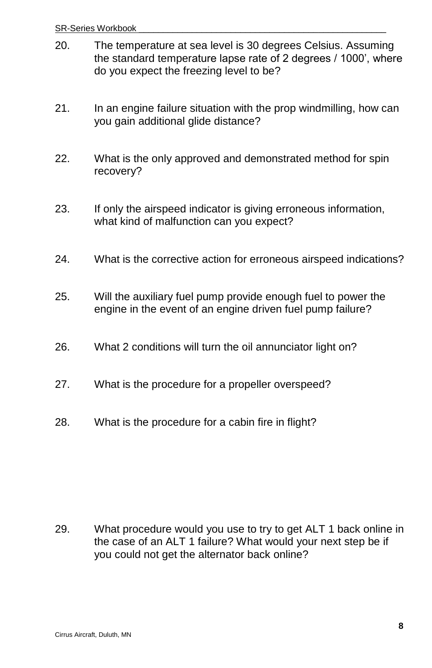- 20. The temperature at sea level is 30 degrees Celsius. Assuming the standard temperature lapse rate of 2 degrees / 1000', where do you expect the freezing level to be?
- 21. In an engine failure situation with the prop windmilling, how can you gain additional glide distance?
- 22. What is the only approved and demonstrated method for spin recovery?
- 23. If only the airspeed indicator is giving erroneous information, what kind of malfunction can you expect?
- 24. What is the corrective action for erroneous airspeed indications?
- 25. Will the auxiliary fuel pump provide enough fuel to power the engine in the event of an engine driven fuel pump failure?
- 26. What 2 conditions will turn the oil annunciator light on?
- 27. What is the procedure for a propeller overspeed?
- 28. What is the procedure for a cabin fire in flight?

29. What procedure would you use to try to get ALT 1 back online in the case of an ALT 1 failure? What would your next step be if you could not get the alternator back online?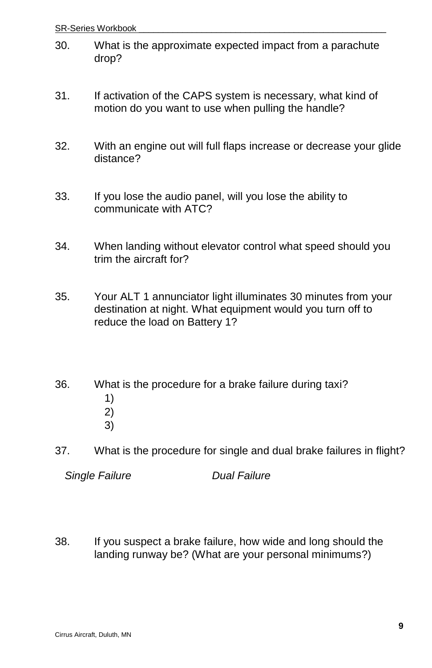- 30. What is the approximate expected impact from a parachute drop?
- 31. If activation of the CAPS system is necessary, what kind of motion do you want to use when pulling the handle?
- 32. With an engine out will full flaps increase or decrease your glide distance?
- 33. If you lose the audio panel, will you lose the ability to communicate with ATC?
- 34. When landing without elevator control what speed should you trim the aircraft for?
- 35. Your ALT 1 annunciator light illuminates 30 minutes from your destination at night. What equipment would you turn off to reduce the load on Battery 1?
- 36. What is the procedure for a brake failure during taxi? 1) 2) 3)
- 37. What is the procedure for single and dual brake failures in flight?

*Single Failure Dual Failure*

38. If you suspect a brake failure, how wide and long should the landing runway be? (What are your personal minimums?)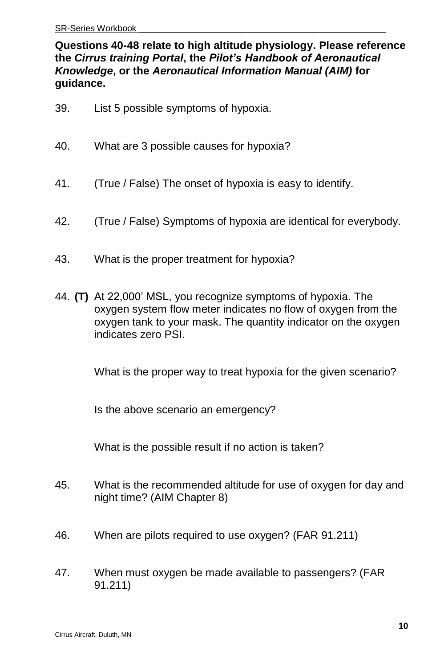#### **Questions 40-48 relate to high altitude physiology. Please reference the** *Cirrus training Portal***, the** *Pilot's Handbook of Aeronautical Knowledge***, or the** *Aeronautical Information Manual (AIM)* **for guidance.**

- 39. List 5 possible symptoms of hypoxia.
- 40. What are 3 possible causes for hypoxia?
- 41. (True / False) The onset of hypoxia is easy to identify.
- 42. (True / False) Symptoms of hypoxia are identical for everybody.
- 43. What is the proper treatment for hypoxia?
- 44. **(T)** At 22,000' MSL, you recognize symptoms of hypoxia. The oxygen system flow meter indicates no flow of oxygen from the oxygen tank to your mask. The quantity indicator on the oxygen indicates zero PSI.

What is the proper way to treat hypoxia for the given scenario?

Is the above scenario an emergency?

What is the possible result if no action is taken?

- 45. What is the recommended altitude for use of oxygen for day and night time? (AIM Chapter 8)
- 46. When are pilots required to use oxygen? (FAR 91.211)
- 47. When must oxygen be made available to passengers? (FAR 91.211)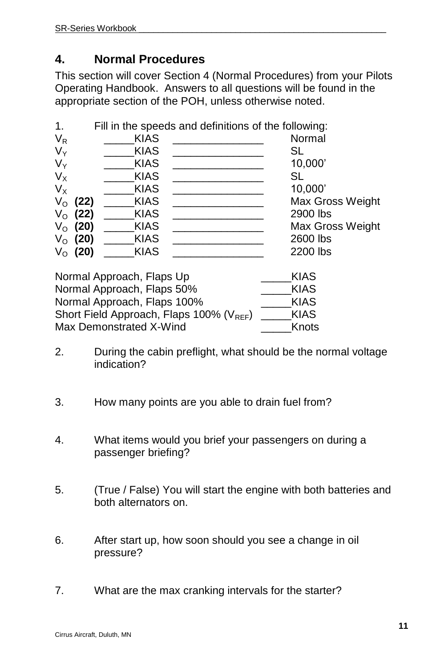## **4. Normal Procedures**

This section will cover Section 4 (Normal Procedures) from your Pilots Operating Handbook. Answers to all questions will be found in the appropriate section of the POH, unless otherwise noted.

| $\mathbf 1$ . |              |             | Fill in the speeds and definitions of the following: |
|---------------|--------------|-------------|------------------------------------------------------|
| $V_R$         |              | <b>KIAS</b> | Normal                                               |
| $V_Y$         |              | <b>KIAS</b> | SL                                                   |
| $V_Y$         |              | <b>KIAS</b> | 10,000                                               |
| $V_{X}$       |              | <b>KIAS</b> | SL                                                   |
| $V_{\rm X}$   |              | <b>KIAS</b> | 10,000'                                              |
| $V_{\rm O}$   | (22)         | <b>KIAS</b> | Max Gross Weight                                     |
|               | $V_{O}$ (22) | <b>KIAS</b> | 2900 lbs                                             |
|               | $V_{O}$ (20) | <b>KIAS</b> | Max Gross Weight                                     |
|               | $V_{O}$ (20) | <b>KIAS</b> | 2600 lbs                                             |
| $V_{\rm O}$   | (20)         | <b>KIAS</b> | 2200 lbs                                             |

| Normal Approach, Flaps Up                            | KIAS        |
|------------------------------------------------------|-------------|
| Normal Approach, Flaps 50%                           | <b>KIAS</b> |
| Normal Approach, Flaps 100%                          | KIAS        |
| Short Field Approach, Flaps 100% (V <sub>REF</sub> ) | KIAS        |
| Max Demonstrated X-Wind                              | Knots       |

- 2. During the cabin preflight, what should be the normal voltage indication?
- 3. How many points are you able to drain fuel from?
- 4. What items would you brief your passengers on during a passenger briefing?
- 5. (True / False) You will start the engine with both batteries and both alternators on.
- 6. After start up, how soon should you see a change in oil pressure?
- 7. What are the max cranking intervals for the starter?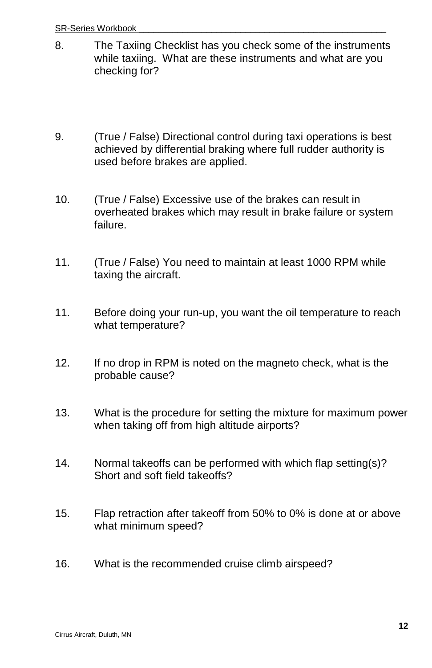- 8. The Taxiing Checklist has you check some of the instruments while taxiing. What are these instruments and what are you checking for?
- 9. (True / False) Directional control during taxi operations is best achieved by differential braking where full rudder authority is used before brakes are applied.
- 10. (True / False) Excessive use of the brakes can result in overheated brakes which may result in brake failure or system failure.
- 11. (True / False) You need to maintain at least 1000 RPM while taxing the aircraft.
- 11. Before doing your run-up, you want the oil temperature to reach what temperature?
- 12. If no drop in RPM is noted on the magneto check, what is the probable cause?
- 13. What is the procedure for setting the mixture for maximum power when taking off from high altitude airports?
- 14. Normal takeoffs can be performed with which flap setting(s)? Short and soft field takeoffs?
- 15. Flap retraction after takeoff from 50% to 0% is done at or above what minimum speed?
- 16. What is the recommended cruise climb airspeed?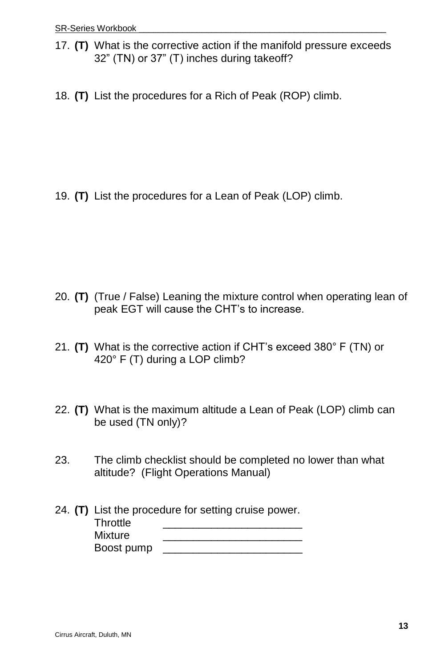- 17. **(T)** What is the corrective action if the manifold pressure exceeds 32" (TN) or 37" (T) inches during takeoff?
- 18. **(T)** List the procedures for a Rich of Peak (ROP) climb.

19. **(T)** List the procedures for a Lean of Peak (LOP) climb.

- 20. **(T)** (True / False) Leaning the mixture control when operating lean of peak EGT will cause the CHT's to increase.
- 21. **(T)** What is the corrective action if CHT's exceed 380° F (TN) or 420° F (T) during a LOP climb?
- 22. **(T)** What is the maximum altitude a Lean of Peak (LOP) climb can be used (TN only)?
- 23. The climb checklist should be completed no lower than what altitude? (Flight Operations Manual)

|            | 24. (T) List the procedure for setting cruise power. |
|------------|------------------------------------------------------|
| Throttle   |                                                      |
| Mixture    |                                                      |
| Boost pump |                                                      |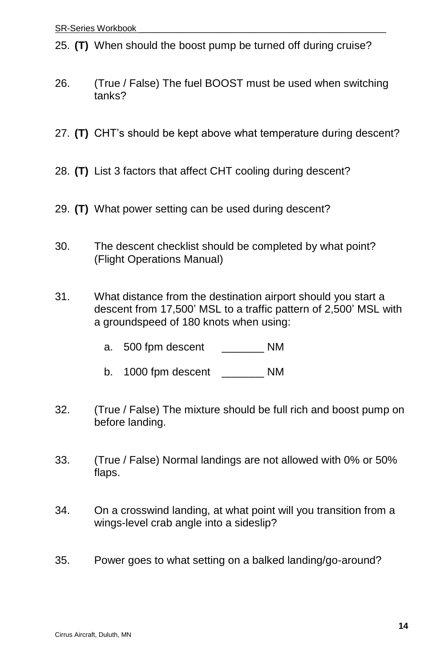25. **(T)** When should the boost pump be turned off during cruise?

- 26. (True / False) The fuel BOOST must be used when switching tanks?
- 27. **(T)** CHT's should be kept above what temperature during descent?
- 28. **(T)** List 3 factors that affect CHT cooling during descent?
- 29. **(T)** What power setting can be used during descent?
- 30. The descent checklist should be completed by what point? (Flight Operations Manual)
- 31. What distance from the destination airport should you start a descent from 17,500' MSL to a traffic pattern of 2,500' MSL with a groundspeed of 180 knots when using:
	- a. 500 fpm descent MM
	- b. 1000 fpm descent NM
- 32. (True / False) The mixture should be full rich and boost pump on before landing.
- 33. (True / False) Normal landings are not allowed with 0% or 50% flaps.
- 34. On a crosswind landing, at what point will you transition from a wings-level crab angle into a sideslip?
- 35. Power goes to what setting on a balked landing/go-around?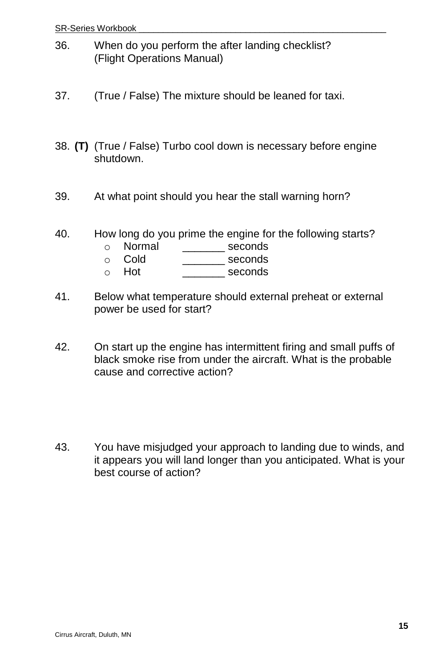- 36. When do you perform the after landing checklist? (Flight Operations Manual)
- 37. (True / False) The mixture should be leaned for taxi.
- 38. **(T)** (True / False) Turbo cool down is necessary before engine shutdown.
- 39. At what point should you hear the stall warning horn?
- 40. How long do you prime the engine for the following starts?
	- o Normal \_\_\_\_\_\_\_ seconds
	- o Cold \_\_\_\_\_\_\_ seconds
	- o Hot **beconds**
- 41. Below what temperature should external preheat or external power be used for start?
- 42. On start up the engine has intermittent firing and small puffs of black smoke rise from under the aircraft. What is the probable cause and corrective action?
- 43. You have misjudged your approach to landing due to winds, and it appears you will land longer than you anticipated. What is your best course of action?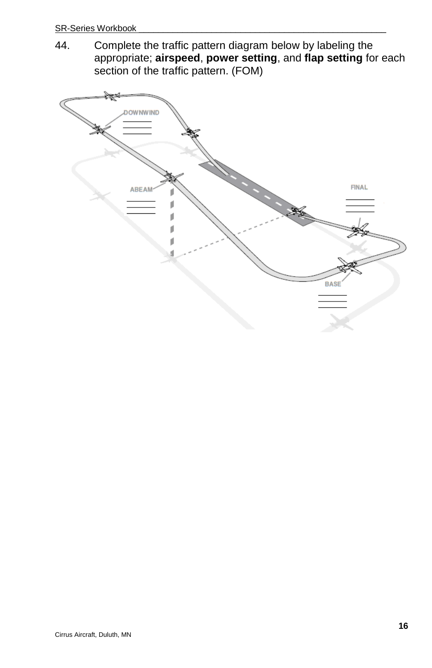44. Complete the traffic pattern diagram below by labeling the appropriate; **airspeed**, **power setting**, and **flap setting** for each section of the traffic pattern. (FOM)

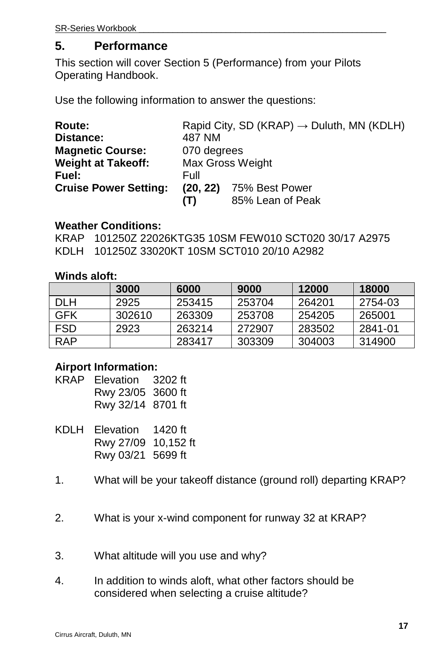## **5. Performance**

This section will cover Section 5 (Performance) from your Pilots Operating Handbook.

Use the following information to answer the questions:

| Route:                       | Rapid City, SD (KRAP) $\rightarrow$ Duluth, MN (KDLH) |                         |  |
|------------------------------|-------------------------------------------------------|-------------------------|--|
| Distance:                    | 487 NM                                                |                         |  |
| <b>Magnetic Course:</b>      | 070 degrees                                           |                         |  |
| <b>Weight at Takeoff:</b>    | Max Gross Weight                                      |                         |  |
| Fuel:                        | Full                                                  |                         |  |
| <b>Cruise Power Setting:</b> |                                                       | (20, 22) 75% Best Power |  |
|                              | (T)                                                   | 85% Lean of Peak        |  |

#### **Weather Conditions:**

KRAP 101250Z 22026KTG35 10SM FEW010 SCT020 30/17 A2975 KDLH 101250Z 33020KT 10SM SCT010 20/10 A2982

#### **Winds aloft:**

|      | 3000   | 6000   | 9000   | 12000  | 18000   |
|------|--------|--------|--------|--------|---------|
| DI H | 2925   | 253415 | 253704 | 264201 | 2754-03 |
| GFK  | 302610 | 263309 | 253708 | 254205 | 265001  |
| FSD  | 2923   | 263214 | 272907 | 283502 | 2841-01 |
| RAP  |        | 283417 | 303309 | 304003 | 314900  |

#### **Airport Information:**

| KRAP Elevation    |  |
|-------------------|--|
| Rwy 23/05 3600 ft |  |
| Rwy 32/14 8701 ft |  |

- KDLH Elevation 1420 ft Rwy 27/09 10,152 ft Rwy 03/21 5699 ft
- 1. What will be your takeoff distance (ground roll) departing KRAP?
- 2. What is your x-wind component for runway 32 at KRAP?
- 3. What altitude will you use and why?
- 4. In addition to winds aloft, what other factors should be considered when selecting a cruise altitude?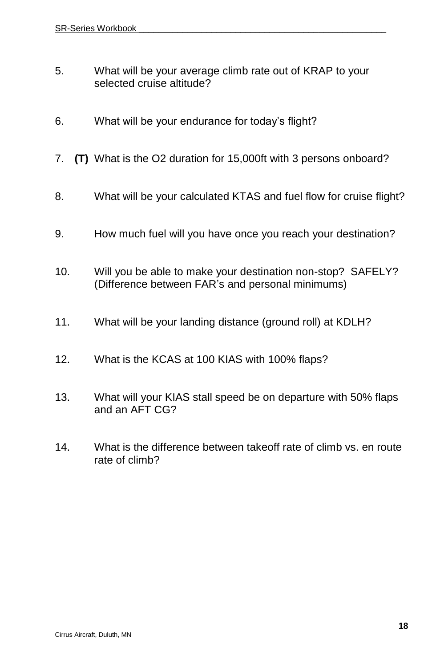- 5. What will be your average climb rate out of KRAP to your selected cruise altitude?
- 6. What will be your endurance for today's flight?
- 7. **(T)** What is the O2 duration for 15,000ft with 3 persons onboard?
- 8. What will be your calculated KTAS and fuel flow for cruise flight?
- 9. How much fuel will you have once you reach your destination?
- 10. Will you be able to make your destination non-stop? SAFELY? (Difference between FAR's and personal minimums)
- 11. What will be your landing distance (ground roll) at KDLH?
- 12. What is the KCAS at 100 KIAS with 100% flaps?
- 13. What will your KIAS stall speed be on departure with 50% flaps and an AFT CG?
- 14. What is the difference between takeoff rate of climb vs. en route rate of climb?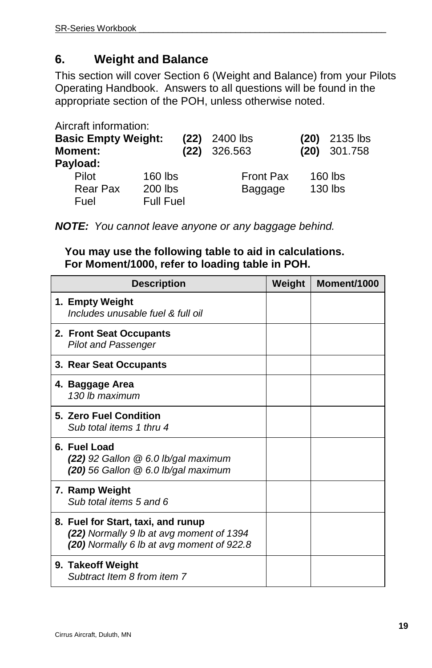## **6. Weight and Balance**

This section will cover Section 6 (Weight and Balance) from your Pilots Operating Handbook. Answers to all questions will be found in the appropriate section of the POH, unless otherwise noted.

Aircraft information:

| <b>Basic Empty Weight:</b><br><b>Moment:</b><br>Payload: | (22)                 | 2400 lbs<br>$(22)$ 326.563  | (20) | 2135 lbs<br>$(20)$ 301.758 |
|----------------------------------------------------------|----------------------|-----------------------------|------|----------------------------|
| Pilot<br>Rear Pax                                        | $160$ lbs<br>200 lbs | <b>Front Pax</b><br>Baggage |      | $160$ lbs<br>130 lbs       |
| Fuel                                                     | <b>Full Fuel</b>     |                             |      |                            |

*NOTE: You cannot leave anyone or any baggage behind.*

**You may use the following table to aid in calculations. For Moment/1000, refer to loading table in POH.**

| <b>Description</b> |                                                                                                                             | Weight | Moment/1000 |
|--------------------|-----------------------------------------------------------------------------------------------------------------------------|--------|-------------|
|                    | 1. Empty Weight<br>Includes unusable fuel & full oil                                                                        |        |             |
|                    | 2. Front Seat Occupants<br><b>Pilot and Passenger</b>                                                                       |        |             |
|                    | 3. Rear Seat Occupants                                                                                                      |        |             |
|                    | 4. Baggage Area<br>130 lb maximum                                                                                           |        |             |
|                    | 5. Zero Fuel Condition<br>Sub total items 1 thru 4                                                                          |        |             |
|                    | 6. Fuel Load<br>$(22)$ 92 Gallon $@$ 6.0 lb/gal maximum<br>(20) 56 Gallon @ 6.0 lb/gal maximum                              |        |             |
|                    | 7. Ramp Weight<br>Sub total items 5 and 6                                                                                   |        |             |
|                    | 8. Fuel for Start, taxi, and runup<br>(22) Normally 9 lb at avg moment of 1394<br>(20) Normally 6 lb at avg moment of 922.8 |        |             |
|                    | 9. Takeoff Weight<br>Subtract Item 8 from item 7                                                                            |        |             |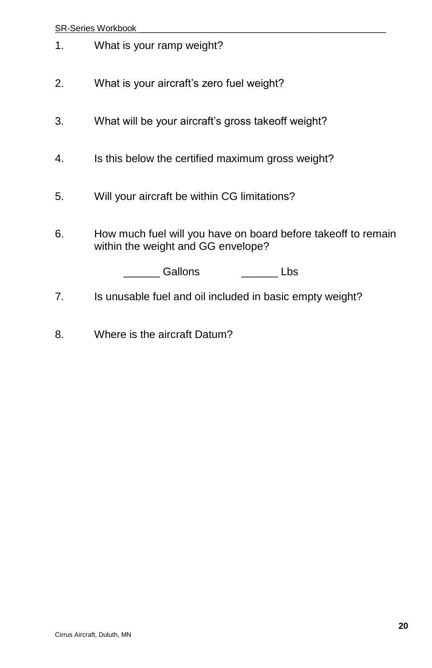#### SR-Series Workbook

- 1. What is your ramp weight?
- 2. What is your aircraft's zero fuel weight?
- 3. What will be your aircraft's gross takeoff weight?
- 4. Is this below the certified maximum gross weight?
- 5. Will your aircraft be within CG limitations?
- 6. How much fuel will you have on board before takeoff to remain within the weight and GG envelope?

\_\_\_\_\_\_ Gallons \_\_\_\_\_\_ Lbs

- 7. Is unusable fuel and oil included in basic empty weight?
- 8. Where is the aircraft Datum?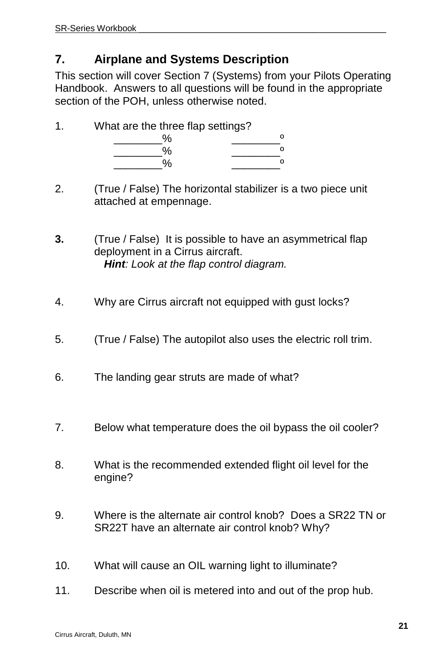## **7. Airplane and Systems Description**

This section will cover Section 7 (Systems) from your Pilots Operating Handbook. Answers to all questions will be found in the appropriate section of the POH, unless otherwise noted.

| 4 | What are the three flap settings? |  |  |  |
|---|-----------------------------------|--|--|--|
|   |                                   |  |  |  |
|   |                                   |  |  |  |
|   |                                   |  |  |  |

2. (True / False) The horizontal stabilizer is a two piece unit attached at empennage.

**3.** (True / False) It is possible to have an asymmetrical flap deployment in a Cirrus aircraft. *Hint: Look at the flap control diagram.* 

- 4. Why are Cirrus aircraft not equipped with gust locks?
- 5. (True / False) The autopilot also uses the electric roll trim.
- 6. The landing gear struts are made of what?
- 7. Below what temperature does the oil bypass the oil cooler?
- 8. What is the recommended extended flight oil level for the engine?
- 9. Where is the alternate air control knob? Does a SR22 TN or SR22T have an alternate air control knob? Why?
- 10. What will cause an OIL warning light to illuminate?
- 11. Describe when oil is metered into and out of the prop hub.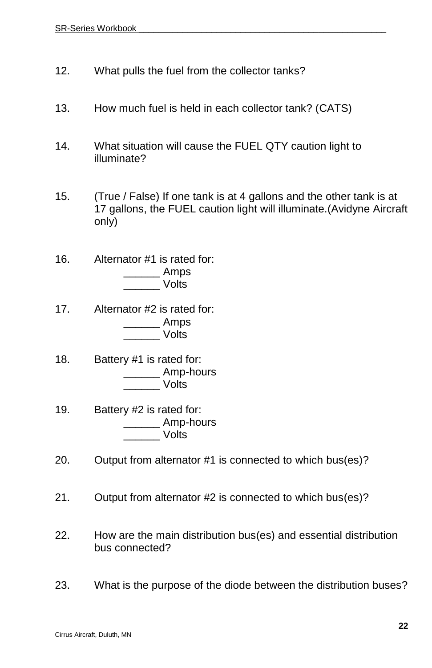- 12. What pulls the fuel from the collector tanks?
- 13. How much fuel is held in each collector tank? (CATS)
- 14. What situation will cause the FUEL QTY caution light to illuminate?
- 15. (True / False) If one tank is at 4 gallons and the other tank is at 17 gallons, the FUEL caution light will illuminate.(Avidyne Aircraft only)
- 16. Alternator #1 is rated for:  $\sqrt{2}$  Amps \_\_\_\_\_\_ Volts
- 17. Alternator #2 is rated for: \_\_\_\_\_\_ Amps \_\_\_\_\_\_ Volts
- 18. Battery #1 is rated for: \_\_\_\_\_\_ Amp-hours \_\_\_\_\_\_ Volts
- 19. Battery #2 is rated for: \_\_\_\_\_\_ Amp-hours \_\_\_\_\_\_ Volts
- 20. Output from alternator #1 is connected to which bus(es)?
- 21. Output from alternator #2 is connected to which bus(es)?
- 22. How are the main distribution bus(es) and essential distribution bus connected?
- 23. What is the purpose of the diode between the distribution buses?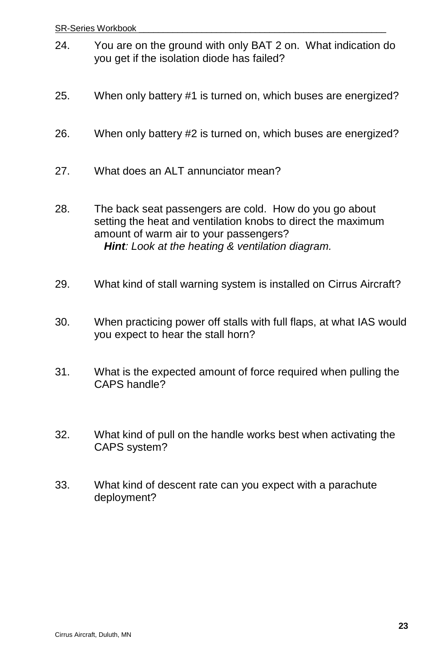- 24. You are on the ground with only BAT 2 on. What indication do you get if the isolation diode has failed?
- 25. When only battery #1 is turned on, which buses are energized?
- 26. When only battery #2 is turned on, which buses are energized?
- 27. What does an ALT annunciator mean?
- 28. The back seat passengers are cold. How do you go about setting the heat and ventilation knobs to direct the maximum amount of warm air to your passengers? *Hint: Look at the heating & ventilation diagram.*
- 29. What kind of stall warning system is installed on Cirrus Aircraft?
- 30. When practicing power off stalls with full flaps, at what IAS would you expect to hear the stall horn?
- 31. What is the expected amount of force required when pulling the CAPS handle?
- 32. What kind of pull on the handle works best when activating the CAPS system?
- 33. What kind of descent rate can you expect with a parachute deployment?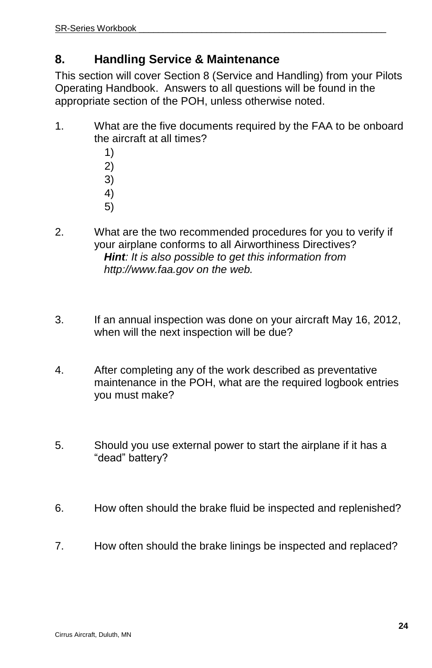## **8. Handling Service & Maintenance**

This section will cover Section 8 (Service and Handling) from your Pilots Operating Handbook. Answers to all questions will be found in the appropriate section of the POH, unless otherwise noted.

- 1. What are the five documents required by the FAA to be onboard the aircraft at all times?
	- 1)
	- 2)
	- 3)
	- 4)
	- 5)
- 2. What are the two recommended procedures for you to verify if your airplane conforms to all Airworthiness Directives? *Hint: It is also possible to get this information from http://www.faa.gov on the web.*
- 3. If an annual inspection was done on your aircraft May 16, 2012, when will the next inspection will be due?
- 4. After completing any of the work described as preventative maintenance in the POH, what are the required logbook entries you must make?
- 5. Should you use external power to start the airplane if it has a "dead" battery?
- 6. How often should the brake fluid be inspected and replenished?
- 7. How often should the brake linings be inspected and replaced?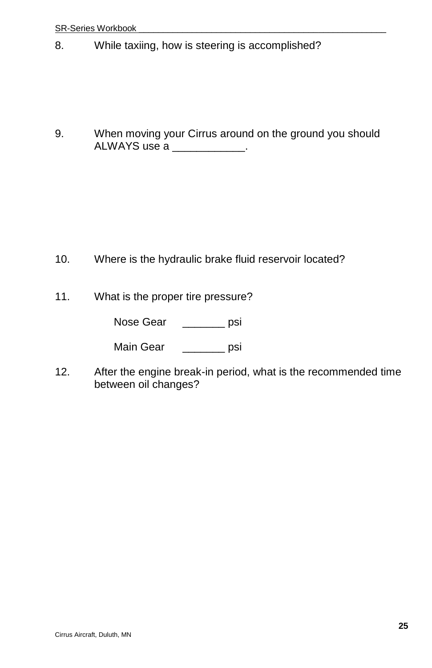8. While taxiing, how is steering is accomplished?

9. When moving your Cirrus around on the ground you should ALWAYS use a \_\_\_\_\_\_\_\_\_\_\_\_.

- 10. Where is the hydraulic brake fluid reservoir located?
- 11. What is the proper tire pressure?

Nose Gear \_\_\_\_\_\_\_ psi

Main Gear **psi** 

12. After the engine break-in period, what is the recommended time between oil changes?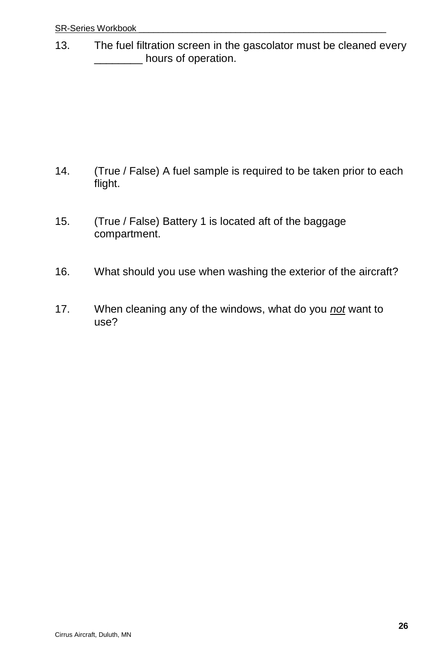13. The fuel filtration screen in the gascolator must be cleaned every \_\_\_\_\_\_\_\_ hours of operation.

- 14. (True / False) A fuel sample is required to be taken prior to each flight.
- 15. (True / False) Battery 1 is located aft of the baggage compartment.
- 16. What should you use when washing the exterior of the aircraft?
- 17. When cleaning any of the windows, what do you *not* want to use?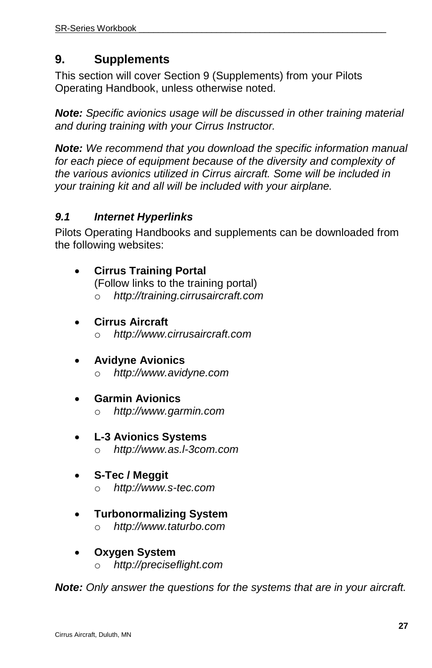## **9. Supplements**

This section will cover Section 9 (Supplements) from your Pilots Operating Handbook, unless otherwise noted.

*Note: Specific avionics usage will be discussed in other training material and during training with your Cirrus Instructor.*

*Note: We recommend that you download the specific information manual*  for each piece of equipment because of the diversity and complexity of *the various avionics utilized in Cirrus aircraft. Some will be included in your training kit and all will be included with your airplane.*

### *9.1 Internet Hyperlinks*

Pilots Operating Handbooks and supplements can be downloaded from the following websites:

- **Cirrus Training Portal** (Follow links to the training portal) o *http://training.cirrusaircraft.com*
- **Cirrus Aircraft**
	- o *http://www.cirrusaircraft.com*
- **Avidyne Avionics** o *http://www.avidyne.com*
- **Garmin Avionics** o *http://www.garmin.com*
- **L-3 Avionics Systems** o *http://www.as.l-3com.com*
- **S-Tec / Meggit** o *http://www.s-tec.com*
- **Turbonormalizing System** o *http://www.taturbo.com*
- **Oxygen System** o *http://preciseflight.com*

*Note: Only answer the questions for the systems that are in your aircraft.*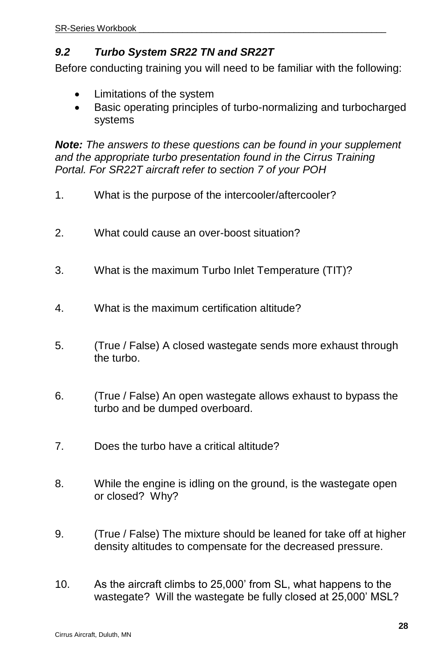## *9.2 Turbo System SR22 TN and SR22T*

Before conducting training you will need to be familiar with the following:

- Limitations of the system
- Basic operating principles of turbo-normalizing and turbocharged systems

*Note: The answers to these questions can be found in your supplement and the appropriate turbo presentation found in the Cirrus Training Portal. For SR22T aircraft refer to section 7 of your POH*

- 1. What is the purpose of the intercooler/aftercooler?
- 2. What could cause an over-boost situation?
- 3. What is the maximum Turbo Inlet Temperature (TIT)?
- 4. What is the maximum certification altitude?
- 5. (True / False) A closed wastegate sends more exhaust through the turbo.
- 6. (True / False) An open wastegate allows exhaust to bypass the turbo and be dumped overboard.
- 7. Does the turbo have a critical altitude?
- 8. While the engine is idling on the ground, is the wastegate open or closed? Why?
- 9. (True / False) The mixture should be leaned for take off at higher density altitudes to compensate for the decreased pressure.
- 10. As the aircraft climbs to 25,000' from SL, what happens to the wastegate? Will the wastegate be fully closed at 25,000' MSL?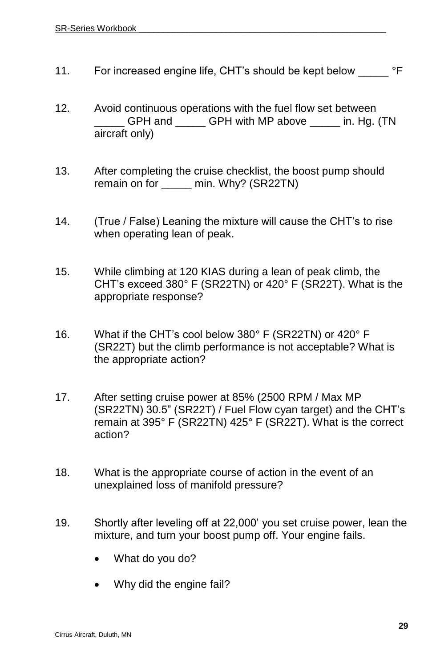- 11. For increased engine life, CHT's should be kept below <sup>o</sup>F
- 12. Avoid continuous operations with the fuel flow set between GPH and \_\_\_\_\_\_ GPH with MP above \_\_\_\_\_ in. Hg. (TN aircraft only)
- 13. After completing the cruise checklist, the boost pump should remain on for \_\_\_\_\_ min. Why? (SR22TN)
- 14. (True / False) Leaning the mixture will cause the CHT's to rise when operating lean of peak.
- 15. While climbing at 120 KIAS during a lean of peak climb, the CHT's exceed 380° F (SR22TN) or 420° F (SR22T). What is the appropriate response?
- 16. What if the CHT's cool below 380° F (SR22TN) or 420° F (SR22T) but the climb performance is not acceptable? What is the appropriate action?
- 17. After setting cruise power at 85% (2500 RPM / Max MP (SR22TN) 30.5" (SR22T) / Fuel Flow cyan target) and the CHT's remain at 395° F (SR22TN) 425° F (SR22T). What is the correct action?
- 18. What is the appropriate course of action in the event of an unexplained loss of manifold pressure?
- 19. Shortly after leveling off at 22,000' you set cruise power, lean the mixture, and turn your boost pump off. Your engine fails.
	- What do you do?
	- Why did the engine fail?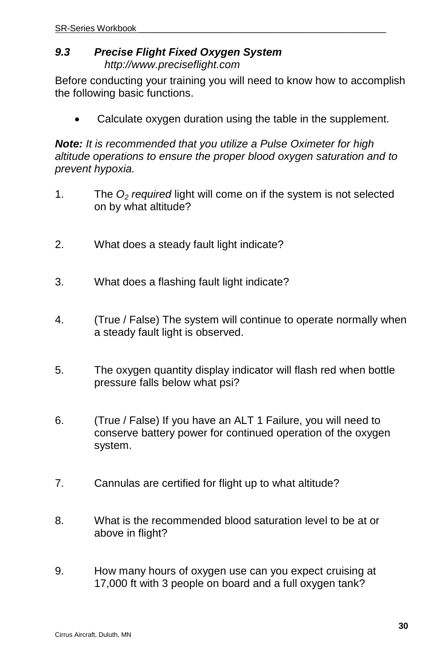#### *9.3 Precise Flight Fixed Oxygen System http://www.preciseflight.com*

Before conducting your training you will need to know how to accomplish the following basic functions.

Calculate oxygen duration using the table in the supplement.

*Note: It is recommended that you utilize a Pulse Oximeter for high altitude operations to ensure the proper blood oxygen saturation and to prevent hypoxia.* 

- 1. The *O<sup>2</sup> required* light will come on if the system is not selected on by what altitude?
- 2. What does a steady fault light indicate?
- 3. What does a flashing fault light indicate?
- 4. (True / False) The system will continue to operate normally when a steady fault light is observed.
- 5. The oxygen quantity display indicator will flash red when bottle pressure falls below what psi?
- 6. (True / False) If you have an ALT 1 Failure, you will need to conserve battery power for continued operation of the oxygen system.
- 7. Cannulas are certified for flight up to what altitude?
- 8. What is the recommended blood saturation level to be at or above in flight?
- 9. How many hours of oxygen use can you expect cruising at 17,000 ft with 3 people on board and a full oxygen tank?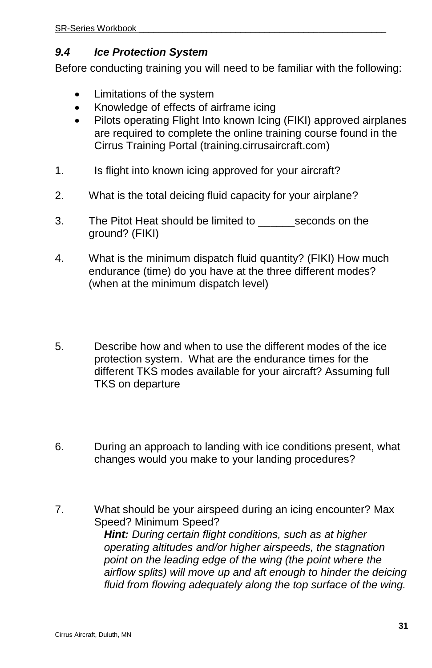#### *9.4 Ice Protection System*

Before conducting training you will need to be familiar with the following:

- Limitations of the system
- Knowledge of effects of airframe icing
- Pilots operating Flight Into known Icing (FIKI) approved airplanes are required to complete the online training course found in the Cirrus Training Portal (training.cirrusaircraft.com)
- 1. Is flight into known icing approved for your aircraft?
- 2. What is the total deicing fluid capacity for your airplane?
- 3. The Pitot Heat should be limited to seconds on the ground? (FIKI)
- 4. What is the minimum dispatch fluid quantity? (FIKI) How much endurance (time) do you have at the three different modes? (when at the minimum dispatch level)
- 5. Describe how and when to use the different modes of the ice protection system. What are the endurance times for the different TKS modes available for your aircraft? Assuming full TKS on departure
- 6. During an approach to landing with ice conditions present, what changes would you make to your landing procedures?
- 7. What should be your airspeed during an icing encounter? Max Speed? Minimum Speed? *Hint: During certain flight conditions, such as at higher operating altitudes and/or higher airspeeds, the stagnation point on the leading edge of the wing (the point where the airflow splits) will move up and aft enough to hinder the deicing fluid from flowing adequately along the top surface of the wing.*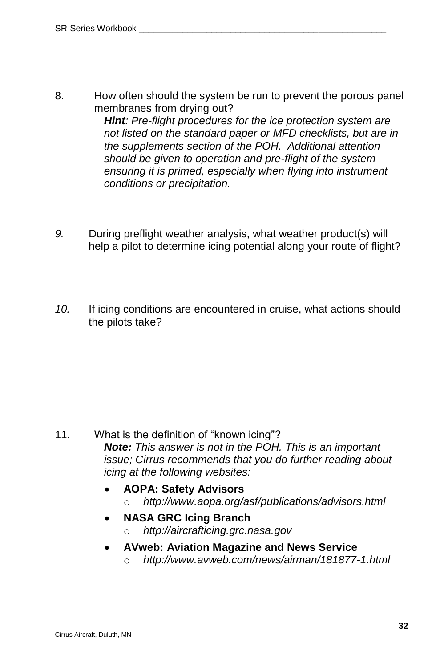8. How often should the system be run to prevent the porous panel membranes from drying out?

> *Hint: Pre-flight procedures for the ice protection system are not listed on the standard paper or MFD checklists, but are in the supplements section of the POH. Additional attention should be given to operation and pre-flight of the system ensuring it is primed, especially when flying into instrument conditions or precipitation.*

- *9.* During preflight weather analysis, what weather product(s) will help a pilot to determine icing potential along your route of flight?
- *10.* If icing conditions are encountered in cruise, what actions should the pilots take?

- 11. What is the definition of "known icing"? *Note: This answer is not in the POH. This is an important issue; Cirrus recommends that you do further reading about icing at the following websites:*
	- **AOPA: Safety Advisors**
		- o *http://www.aopa.org/asf/publications/advisors.html*
	- **NASA GRC Icing Branch**
		- o *http://aircrafticing.grc.nasa.gov*
	- **AVweb: Aviation Magazine and News Service**
		- o *<http://www.avweb.com/news/airman/181877-1.html>*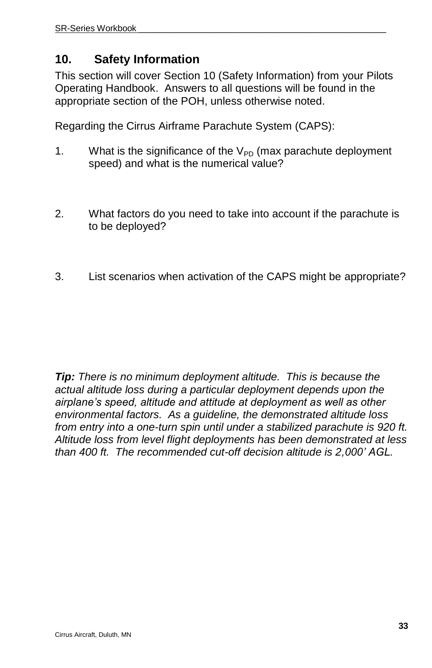## **10. Safety Information**

This section will cover Section 10 (Safety Information) from your Pilots Operating Handbook. Answers to all questions will be found in the appropriate section of the POH, unless otherwise noted.

Regarding the Cirrus Airframe Parachute System (CAPS):

- 1. What is the significance of the  $V_{PD}$  (max parachute deployment speed) and what is the numerical value?
- 2. What factors do you need to take into account if the parachute is to be deployed?
- 3. List scenarios when activation of the CAPS might be appropriate?

*Tip: There is no minimum deployment altitude. This is because the actual altitude loss during a particular deployment depends upon the airplane's speed, altitude and attitude at deployment as well as other environmental factors. As a guideline, the demonstrated altitude loss from entry into a one-turn spin until under a stabilized parachute is 920 ft. Altitude loss from level flight deployments has been demonstrated at less than 400 ft. The recommended cut-off decision altitude is 2,000' AGL.*